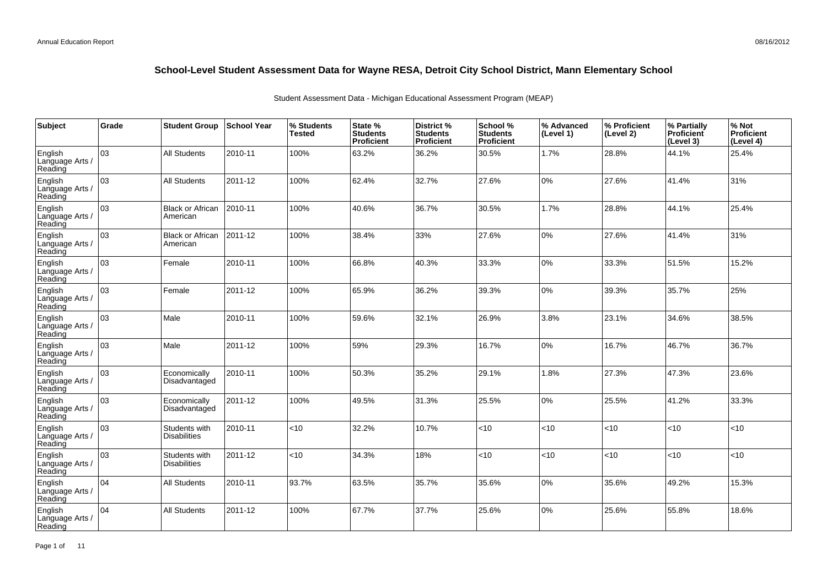| Subject                               | Grade | <b>Student Group</b>                 | <b>School Year</b> | % Students<br><b>Tested</b> | State %<br><b>Students</b><br>Proficient | District %<br><b>Students</b><br><b>Proficient</b> | School %<br><b>Students</b><br><b>Proficient</b> | % Advanced<br>(Level 1) | % Proficient<br>(Level 2) | % Partially<br><b>Proficient</b><br>(Level 3) | % Not<br>Proficient<br>(Level 4) |
|---------------------------------------|-------|--------------------------------------|--------------------|-----------------------------|------------------------------------------|----------------------------------------------------|--------------------------------------------------|-------------------------|---------------------------|-----------------------------------------------|----------------------------------|
| English<br>Language Arts /<br>Reading | 03    | All Students                         | 2010-11            | 100%                        | 63.2%                                    | 36.2%                                              | 30.5%                                            | 1.7%                    | 28.8%                     | 44.1%                                         | 25.4%                            |
| English<br>Language Arts /<br>Reading | 03    | <b>All Students</b>                  | 2011-12            | 100%                        | 62.4%                                    | 32.7%                                              | 27.6%                                            | $0\%$                   | 27.6%                     | 41.4%                                         | 31%                              |
| English<br>Language Arts /<br>Reading | 03    | <b>Black or African</b><br>American  | 2010-11            | 100%                        | 40.6%                                    | 36.7%                                              | 30.5%                                            | 1.7%                    | 28.8%                     | 44.1%                                         | 25.4%                            |
| English<br>Language Arts /<br>Reading | 03    | <b>Black or African</b><br>American  | 2011-12            | 100%                        | 38.4%                                    | 33%                                                | 27.6%                                            | 0%                      | 27.6%                     | 41.4%                                         | 31%                              |
| English<br>Language Arts /<br>Reading | 03    | Female                               | 2010-11            | 100%                        | 66.8%                                    | 40.3%                                              | 33.3%                                            | 0%                      | 33.3%                     | 51.5%                                         | 15.2%                            |
| English<br>Language Arts /<br>Reading | 03    | Female                               | 2011-12            | 100%                        | 65.9%                                    | 36.2%                                              | 39.3%                                            | $0\%$                   | 39.3%                     | 35.7%                                         | 25%                              |
| English<br>Language Arts /<br>Reading | 03    | Male                                 | 2010-11            | 100%                        | 59.6%                                    | 32.1%                                              | 26.9%                                            | 3.8%                    | 23.1%                     | 34.6%                                         | 38.5%                            |
| English<br>Language Arts /<br>Reading | 03    | Male                                 | 2011-12            | 100%                        | 59%                                      | 29.3%                                              | 16.7%                                            | 0%                      | 16.7%                     | 46.7%                                         | 36.7%                            |
| English<br>Language Arts /<br>Reading | 03    | Economically<br>Disadvantaged        | 2010-11            | 100%                        | 50.3%                                    | 35.2%                                              | 29.1%                                            | 1.8%                    | 27.3%                     | 47.3%                                         | 23.6%                            |
| English<br>Language Arts /<br>Reading | оз    | Economically<br>Disadvantaged        | 2011-12            | 100%                        | 49.5%                                    | 31.3%                                              | 25.5%                                            | 0%                      | 25.5%                     | 41.2%                                         | 33.3%                            |
| English<br>Language Arts /<br>Reading | 03    | Students with<br><b>Disabilities</b> | 2010-11            | < 10                        | 32.2%                                    | 10.7%                                              | < 10                                             | < 10                    | <10                       | <10                                           | <10                              |
| English<br>Language Arts /<br>Reading | 03    | Students with<br><b>Disabilities</b> | 2011-12            | $<$ 10                      | 34.3%                                    | 18%                                                | <10                                              | <10                     | <10                       | <10                                           | <10                              |
| English<br>Language Arts /<br>Reading | 104   | <b>All Students</b>                  | 2010-11            | 93.7%                       | 63.5%                                    | 35.7%                                              | 35.6%                                            | 0%                      | 35.6%                     | 49.2%                                         | 15.3%                            |
| English<br>Language Arts<br>Reading   | 04    | <b>All Students</b>                  | 2011-12            | 100%                        | 67.7%                                    | 37.7%                                              | 25.6%                                            | $0\%$                   | 25.6%                     | 55.8%                                         | 18.6%                            |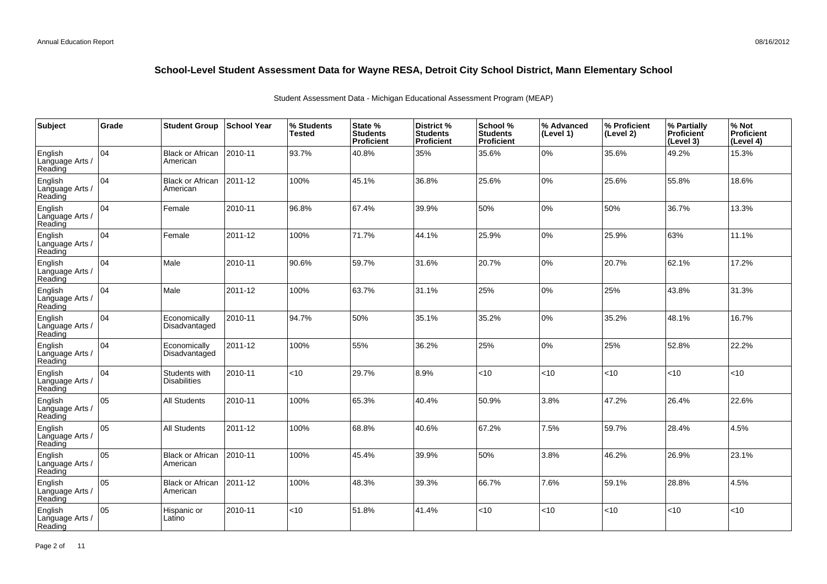| Subject                               | Grade | <b>Student Group</b>                 | ∣School Year | % Students<br><b>Tested</b> | State %<br><b>Students</b><br>Proficient | District %<br><b>Students</b><br>Proficient | School %<br><b>Students</b><br><b>Proficient</b> | % Advanced<br>(Level 1) | % Proficient<br>(Level 2) | % Partially<br>Proficient<br>(Level 3) | % Not<br>Proficient<br>(Level 4) |
|---------------------------------------|-------|--------------------------------------|--------------|-----------------------------|------------------------------------------|---------------------------------------------|--------------------------------------------------|-------------------------|---------------------------|----------------------------------------|----------------------------------|
| English<br>Language Arts /<br>Reading | 04    | <b>Black or African</b><br>American  | 2010-11      | 93.7%                       | 40.8%                                    | 35%                                         | 35.6%                                            | 0%                      | 35.6%                     | 49.2%                                  | 15.3%                            |
| English<br>Language Arts /<br>Reading | 04    | <b>Black or African</b><br>American  | 2011-12      | 100%                        | 45.1%                                    | 36.8%                                       | 25.6%                                            | 0%                      | 25.6%                     | 55.8%                                  | 18.6%                            |
| English<br>Language Arts /<br>Reading | 04    | Female                               | 2010-11      | 96.8%                       | 67.4%                                    | 39.9%                                       | 50%                                              | $0\%$                   | 50%                       | 36.7%                                  | 13.3%                            |
| English<br>Language Arts /<br>Reading | 04    | Female                               | 2011-12      | 100%                        | 71.7%                                    | 44.1%                                       | 25.9%                                            | 0%                      | 25.9%                     | 63%                                    | 11.1%                            |
| English<br>Language Arts /<br>Reading | 04    | Male                                 | 2010-11      | 90.6%                       | 59.7%                                    | 31.6%                                       | 20.7%                                            | 0%                      | 20.7%                     | 62.1%                                  | 17.2%                            |
| English<br>Language Arts /<br>Reading | 04    | Male                                 | 2011-12      | 100%                        | 63.7%                                    | 31.1%                                       | 25%                                              | 0%                      | 25%                       | 43.8%                                  | 31.3%                            |
| English<br>Language Arts /<br>Reading | 04    | Economically<br>Disadvantaged        | 2010-11      | 94.7%                       | 50%                                      | 35.1%                                       | 35.2%                                            | 0%                      | 35.2%                     | 48.1%                                  | 16.7%                            |
| English<br>Language Arts<br>Reading   | 04    | Economically<br>Disadvantaged        | 2011-12      | 100%                        | 55%                                      | 36.2%                                       | 25%                                              | 0%                      | 25%                       | 52.8%                                  | 22.2%                            |
| English<br>Language Arts<br>Reading   | 04    | Students with<br><b>Disabilities</b> | 2010-11      | <10                         | 29.7%                                    | 8.9%                                        | < 10                                             | <10                     | < 10                      | < 10                                   | <10                              |
| English<br>Language Arts<br>Reading   | 05    | <b>All Students</b>                  | 2010-11      | 100%                        | 65.3%                                    | 40.4%                                       | 50.9%                                            | 3.8%                    | 47.2%                     | 26.4%                                  | 22.6%                            |
| English<br>Language Arts /<br>Reading | lo5   | All Students                         | 2011-12      | 100%                        | 68.8%                                    | 40.6%                                       | 67.2%                                            | 7.5%                    | 59.7%                     | 28.4%                                  | 4.5%                             |
| English<br>Language Arts<br>Reading   | 05    | <b>Black or African</b><br>American  | 2010-11      | 100%                        | 45.4%                                    | 39.9%                                       | 50%                                              | 3.8%                    | 46.2%                     | 26.9%                                  | 23.1%                            |
| English<br>Language Arts<br>Reading   | 05    | <b>Black or African</b><br>American  | 2011-12      | 100%                        | 48.3%                                    | 39.3%                                       | 66.7%                                            | 7.6%                    | 59.1%                     | 28.8%                                  | 4.5%                             |
| English<br>Language Arts<br>Reading   | 05    | Hispanic or<br>Latino                | 2010-11      | $<$ 10                      | 51.8%                                    | 41.4%                                       | < 10                                             | <10                     | < 10                      | < 10                                   | <10                              |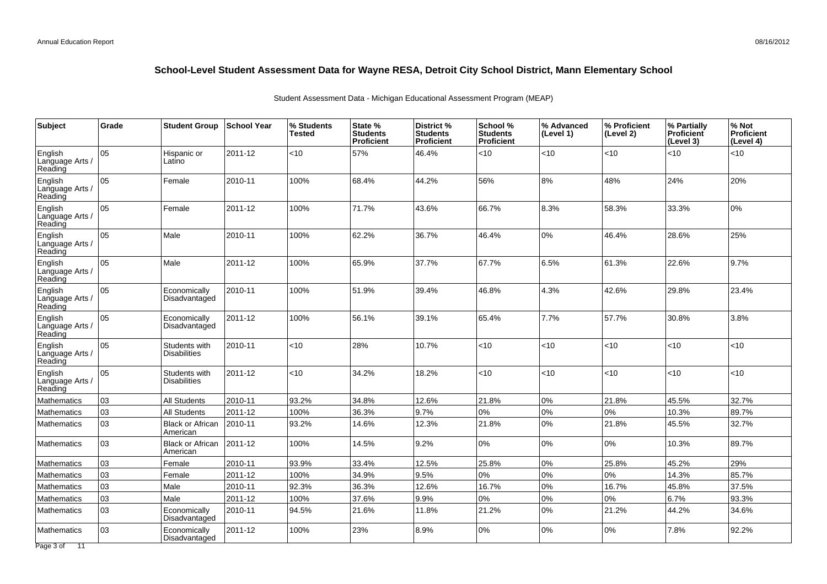| Subject                               | Grade | <b>Student Group</b>                 | <b>School Year</b> | % Students<br><b>Tested</b> | State %<br><b>Students</b><br>Proficient | District %<br><b>Students</b><br>Proficient | School %<br><b>Students</b><br><b>Proficient</b> | % Advanced<br>(Level 1) | % Proficient<br>(Level 2) | % Partially<br>Proficient<br>(Level 3) | % Not<br><b>Proficient</b><br>(Level 4) |
|---------------------------------------|-------|--------------------------------------|--------------------|-----------------------------|------------------------------------------|---------------------------------------------|--------------------------------------------------|-------------------------|---------------------------|----------------------------------------|-----------------------------------------|
| English<br>Language Arts<br>Reading   | 05    | Hispanic or<br>Latino                | 2011-12            | <10                         | 57%                                      | 46.4%                                       | < 10                                             | <10                     | <10                       | < 10                                   | <10                                     |
| English<br>Language Arts /<br>Reading | 05    | Female                               | 2010-11            | 100%                        | 68.4%                                    | 44.2%                                       | 56%                                              | 8%                      | 48%                       | 24%                                    | 20%                                     |
| English<br>Language Arts /<br>Reading | lo5   | Female                               | 2011-12            | 100%                        | 71.7%                                    | 43.6%                                       | 66.7%                                            | 8.3%                    | 58.3%                     | 33.3%                                  | 0%                                      |
| English<br>Language Arts /<br>Reading | 05    | Male                                 | 2010-11            | 100%                        | 62.2%                                    | 36.7%                                       | 46.4%                                            | 0%                      | 46.4%                     | 28.6%                                  | 25%                                     |
| English<br>Language Arts<br>Reading   | 05    | Male                                 | 2011-12            | 100%                        | 65.9%                                    | 37.7%                                       | 67.7%                                            | 6.5%                    | 61.3%                     | 22.6%                                  | 9.7%                                    |
| English<br>Language Arts /<br>Reading | 05    | Economically<br>Disadvantaged        | 2010-11            | 100%                        | 51.9%                                    | 39.4%                                       | 46.8%                                            | 4.3%                    | 42.6%                     | 29.8%                                  | 23.4%                                   |
| English<br>Language Arts /<br>Reading | 05    | Economically<br>Disadvantaged        | 2011-12            | 100%                        | 56.1%                                    | 39.1%                                       | 65.4%                                            | 7.7%                    | 57.7%                     | 30.8%                                  | 3.8%                                    |
| English<br>Language Arts /<br>Reading | 05    | Students with<br><b>Disabilities</b> | 2010-11            | <10                         | 28%                                      | 10.7%                                       | < 10                                             | <10                     | $<$ 10                    | < 10                                   | <10                                     |
| English<br>Language Arts<br>Reading   | 05    | Students with<br><b>Disabilities</b> | 2011-12            | <10                         | 34.2%                                    | 18.2%                                       | < 10                                             | <10                     | <10                       | < 10                                   | <10                                     |
| Mathematics                           | 03    | <b>All Students</b>                  | 2010-11            | 93.2%                       | 34.8%                                    | 12.6%                                       | 21.8%                                            | 0%                      | 21.8%                     | 45.5%                                  | 32.7%                                   |
| Mathematics                           | 03    | <b>All Students</b>                  | 2011-12            | 100%                        | 36.3%                                    | 9.7%                                        | $0\%$                                            | 0%                      | 0%                        | 10.3%                                  | 89.7%                                   |
| <b>Mathematics</b>                    | 03    | <b>Black or African</b><br>American  | 2010-11            | 93.2%                       | 14.6%                                    | 12.3%                                       | 21.8%                                            | 0%                      | 21.8%                     | 45.5%                                  | 32.7%                                   |
| <b>Mathematics</b>                    | 03    | <b>Black or African</b><br>American  | 2011-12            | 100%                        | 14.5%                                    | 9.2%                                        | $0\%$                                            | 0%                      | 0%                        | 10.3%                                  | 89.7%                                   |
| Mathematics                           | 03    | Female                               | 2010-11            | 93.9%                       | 33.4%                                    | 12.5%                                       | 25.8%                                            | 0%                      | 25.8%                     | 45.2%                                  | 29%                                     |
| Mathematics                           | 03    | Female                               | 2011-12            | 100%                        | 34.9%                                    | 9.5%                                        | $0\%$                                            | 0%                      | 0%                        | 14.3%                                  | 85.7%                                   |
| Mathematics                           | 03    | Male                                 | 2010-11            | 92.3%                       | 36.3%                                    | 12.6%                                       | 16.7%                                            | 0%                      | 16.7%                     | 45.8%                                  | 37.5%                                   |
| Mathematics                           | 03    | Male                                 | 2011-12            | 100%                        | 37.6%                                    | 9.9%                                        | $0\%$                                            | 0%                      | 0%                        | 6.7%                                   | 93.3%                                   |
| Mathematics                           | 03    | Economically<br>Disadvantaged        | 2010-11            | 94.5%                       | 21.6%                                    | 11.8%                                       | 21.2%                                            | 0%                      | 21.2%                     | 44.2%                                  | 34.6%                                   |
| <b>Mathematics</b>                    | 03    | Economically<br>Disadvantaged        | 2011-12            | 100%                        | 23%                                      | 8.9%                                        | 0%                                               | 0%                      | 0%                        | 7.8%                                   | 92.2%                                   |
| Page 3 of 11                          |       |                                      |                    |                             |                                          |                                             |                                                  |                         |                           |                                        |                                         |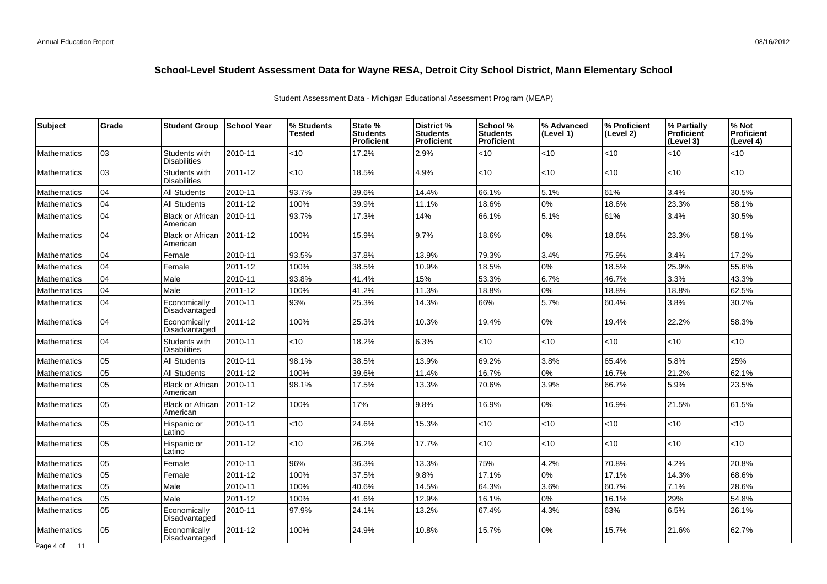|                                    | Grade | <b>Student Group</b>                 | ∣School Year  | % Students<br>Tested | State %<br><b>Students</b><br><b>Proficient</b> | District %<br><b>Students</b><br>Proficient | School %<br><b>Students</b><br><b>Proficient</b> | % Advanced<br>(Level 1) | % Proficient<br>(Level 2) | % Partially<br><b>Proficient</b><br>(Level 3) | % Not<br><b>Proficient</b><br>(Level 4) |
|------------------------------------|-------|--------------------------------------|---------------|----------------------|-------------------------------------------------|---------------------------------------------|--------------------------------------------------|-------------------------|---------------------------|-----------------------------------------------|-----------------------------------------|
| <b>Mathematics</b>                 | 03    | Students with<br><b>Disabilities</b> | 2010-11       | <10                  | 17.2%                                           | 2.9%                                        | <10                                              | <10                     | <10                       | <10                                           | <10                                     |
| <b>Mathematics</b>                 | 03    | Students with<br><b>Disabilities</b> | 2011-12       | <10                  | 18.5%                                           | 4.9%                                        | <10                                              | <10                     | <10                       | <10                                           | <10                                     |
| Mathematics                        | 04    | <b>All Students</b>                  | 2010-11       | 93.7%                | 39.6%                                           | 14.4%                                       | 66.1%                                            | 5.1%                    | 61%                       | 3.4%                                          | 30.5%                                   |
| <b>Mathematics</b>                 | 04    | <b>All Students</b>                  | 2011-12       | 100%                 | 39.9%                                           | 11.1%                                       | 18.6%                                            | 0%                      | 18.6%                     | 23.3%                                         | 58.1%                                   |
| <b>Mathematics</b>                 | 04    | <b>Black or African</b><br>American  | 2010-11       | 93.7%                | 17.3%                                           | 14%                                         | 66.1%                                            | 5.1%                    | 61%                       | 3.4%                                          | 30.5%                                   |
| <b>Mathematics</b>                 | 04    | <b>Black or African</b><br>American  | $ 2011 - 12 $ | 100%                 | 15.9%                                           | 9.7%                                        | 18.6%                                            | 0%                      | 18.6%                     | 23.3%                                         | 58.1%                                   |
| <b>Mathematics</b>                 | 04    | Female                               | 2010-11       | 93.5%                | 37.8%                                           | 13.9%                                       | 79.3%                                            | 3.4%                    | 75.9%                     | 3.4%                                          | 17.2%                                   |
| <b>Mathematics</b>                 | 04    | Female                               | 2011-12       | 100%                 | 38.5%                                           | 10.9%                                       | 18.5%                                            | 0%                      | 18.5%                     | 25.9%                                         | 55.6%                                   |
| <b>Mathematics</b>                 | 04    | Male                                 | 2010-11       | 93.8%                | 41.4%                                           | 15%                                         | 53.3%                                            | 6.7%                    | 46.7%                     | 3.3%                                          | 43.3%                                   |
| <b>Mathematics</b>                 | 04    | Male                                 | 2011-12       | 100%                 | 41.2%                                           | 11.3%                                       | 18.8%                                            | 0%                      | 18.8%                     | 18.8%                                         | 62.5%                                   |
| <b>Mathematics</b>                 | 04    | Economically<br>Disadvantaged        | 2010-11       | 93%                  | 25.3%                                           | 14.3%                                       | 66%                                              | 5.7%                    | 60.4%                     | 3.8%                                          | 30.2%                                   |
| <b>Mathematics</b>                 | 04    | Economically<br>Disadvantaged        | 2011-12       | 100%                 | 25.3%                                           | 10.3%                                       | 19.4%                                            | 0%                      | 19.4%                     | 22.2%                                         | 58.3%                                   |
| <b>Mathematics</b>                 | 04    | Students with<br><b>Disabilities</b> | 2010-11       | <10                  | 18.2%                                           | 6.3%                                        | <10                                              | $<10$                   | <10                       | $<10$                                         | <10                                     |
| <b>Mathematics</b>                 | 05    | <b>All Students</b>                  | 2010-11       | 98.1%                | 38.5%                                           | 13.9%                                       | 69.2%                                            | 3.8%                    | 65.4%                     | 5.8%                                          | 25%                                     |
| Mathematics                        | 05    | All Students                         | 2011-12       | 100%                 | 39.6%                                           | 11.4%                                       | 16.7%                                            | 0%                      | 16.7%                     | 21.2%                                         | 62.1%                                   |
| <b>Mathematics</b>                 | 05    | <b>Black or African</b><br>American  | 2010-11       | 98.1%                | 17.5%                                           | 13.3%                                       | 70.6%                                            | 3.9%                    | 66.7%                     | 5.9%                                          | 23.5%                                   |
| <b>Mathematics</b>                 | 05    | <b>Black or African</b><br>American  | 2011-12       | 100%                 | 17%                                             | 9.8%                                        | 16.9%                                            | 0%                      | 16.9%                     | 21.5%                                         | 61.5%                                   |
| <b>Mathematics</b>                 | 05    | Hispanic or<br>Latino                | 2010-11       | <10                  | 24.6%                                           | 15.3%                                       | <10                                              | $<10$                   | <10                       | $<10$                                         | <10                                     |
| <b>Mathematics</b>                 | 05    | Hispanic or<br>Latino                | 2011-12       | $<$ 10               | 26.2%                                           | 17.7%                                       | <10                                              | $<$ 10                  | <10                       | <10                                           | <10                                     |
| <b>Mathematics</b>                 | 05    | Female                               | 2010-11       | 96%                  | 36.3%                                           | 13.3%                                       | 75%                                              | 4.2%                    | 70.8%                     | 4.2%                                          | 20.8%                                   |
| <b>Mathematics</b>                 | 05    | Female                               | 2011-12       | 100%                 | 37.5%                                           | 9.8%                                        | 17.1%                                            | $0\%$                   | 17.1%                     | 14.3%                                         | 68.6%                                   |
| Mathematics                        | 05    | Male                                 | 2010-11       | 100%                 | 40.6%                                           | 14.5%                                       | 64.3%                                            | 3.6%                    | 60.7%                     | 7.1%                                          | 28.6%                                   |
| Mathematics                        | 05    | Male                                 | 2011-12       | 100%                 | 41.6%                                           | 12.9%                                       | 16.1%                                            | $0\%$                   | 16.1%                     | 29%                                           | 54.8%                                   |
| <b>Mathematics</b>                 | 05    | Economically<br>Disadvantaged        | 2010-11       | 97.9%                | 24.1%                                           | 13.2%                                       | 67.4%                                            | 4.3%                    | 63%                       | 6.5%                                          | 26.1%                                   |
| <b>Mathematics</b><br>Page 4 of 11 | 05    | Economically<br>Disadvantaged        | 2011-12       | 100%                 | 24.9%                                           | 10.8%                                       | 15.7%                                            | 0%                      | 15.7%                     | 21.6%                                         | 62.7%                                   |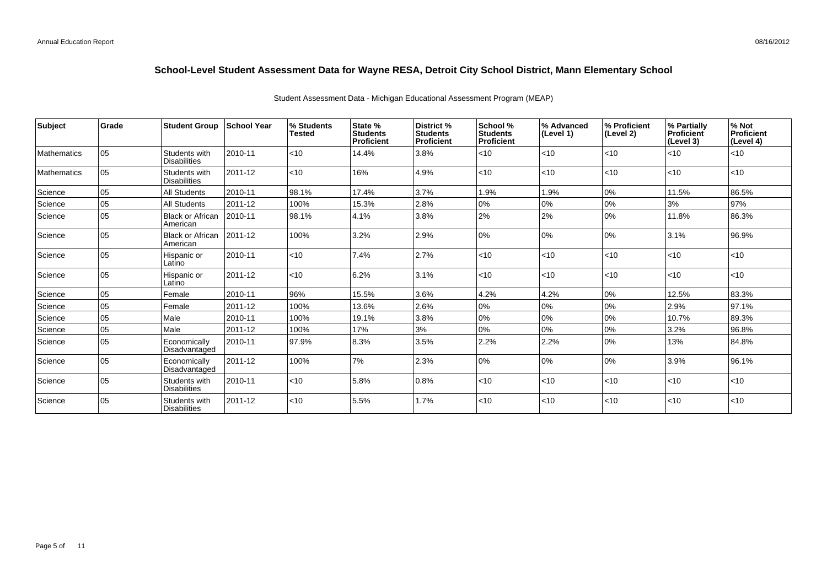| <b>Subject</b>     | Grade | <b>Student Group</b>                 | ∣School Year | % Students<br><b>Tested</b> | State %<br><b>Students</b><br>Proficient | District %<br><b>Students</b><br>Proficient | School %<br><b>Students</b><br>Proficient | % Advanced<br>(Level 1) | % Proficient<br>(Level 2) | % Partially<br>Proficient<br>(Level 3) | % Not<br>Proficient<br>(Level 4) |
|--------------------|-------|--------------------------------------|--------------|-----------------------------|------------------------------------------|---------------------------------------------|-------------------------------------------|-------------------------|---------------------------|----------------------------------------|----------------------------------|
| <b>Mathematics</b> | lo5   | Students with<br><b>Disabilities</b> | 2010-11      | $ $ < 10                    | 14.4%                                    | 3.8%                                        | $<$ 10                                    | < 10                    | $ $ < 10                  | $<$ 10                                 | $ $ < 10                         |
| <b>Mathematics</b> | 05    | Students with<br><b>Disabilities</b> | 2011-12      | $ $ < 10                    | 16%                                      | 4.9%                                        | $<$ 10                                    | < 10                    | l<10                      | $ $ < 10                               | $<$ 10                           |
| Science            | 05    | <b>All Students</b>                  | 2010-11      | 98.1%                       | 17.4%                                    | 3.7%                                        | 1.9%                                      | 1.9%                    | $ 0\%$                    | 11.5%                                  | 86.5%                            |
| Science            | 05    | <b>All Students</b>                  | 2011-12      | 100%                        | 15.3%                                    | 2.8%                                        | 0%                                        | 0%                      | $ 0\%$                    | 3%                                     | 97%                              |
| Science            | 105   | <b>Black or African</b><br>American  | 2010-11      | 98.1%                       | 4.1%                                     | 3.8%                                        | 2%                                        | 2%                      | 10%                       | 11.8%                                  | 86.3%                            |
| Science            | l 05  | <b>Black or African</b><br>American  | 2011-12      | 100%                        | 3.2%                                     | 2.9%                                        | 0%                                        | 0%                      | 10%                       | 3.1%                                   | 96.9%                            |
| Science            | 05    | Hispanic or<br>Latino                | 2010-11      | < 10                        | 7.4%                                     | 2.7%                                        | <10                                       | < 10                    | $ $ < 10                  | < 10                                   | $ $ < 10                         |
| Science            | 05    | Hispanic or<br>Latino                | 2011-12      | $ $ < 10                    | 6.2%                                     | 3.1%                                        | $<$ 10                                    | < 10                    | l<10                      | $ $ < 10                               | < 10                             |
| Science            | 05    | Female                               | 2010-11      | 96%                         | 15.5%                                    | 3.6%                                        | 4.2%                                      | 4.2%                    | 0%                        | 12.5%                                  | 83.3%                            |
| Science            | 05    | Female                               | 2011-12      | 100%                        | 13.6%                                    | 2.6%                                        | 0%                                        | 0%                      | 0%                        | 2.9%                                   | 97.1%                            |
| Science            | lo5   | Male                                 | 2010-11      | 100%                        | 19.1%                                    | 3.8%                                        | $0\%$                                     | 0%                      | 0%                        | 10.7%                                  | 89.3%                            |
| Science            | 05    | Male                                 | 2011-12      | 100%                        | 17%                                      | 3%                                          | $0\%$                                     | 0%                      | 0%                        | 3.2%                                   | 96.8%                            |
| Science            | l 05  | Economically<br>Disadvantaged        | 2010-11      | 97.9%                       | 8.3%                                     | 3.5%                                        | 2.2%                                      | 2.2%                    | 10%                       | 13%                                    | 84.8%                            |
| Science            | 05    | Economically<br>Disadvantaged        | 2011-12      | 100%                        | 7%                                       | 2.3%                                        | 0%                                        | 0%                      | $ 0\%$                    | 3.9%                                   | 96.1%                            |
| Science            | 05    | Students with<br><b>Disabilities</b> | 2010-11      | < 10                        | 5.8%                                     | 0.8%                                        | <10                                       | < 10                    | l<10                      | $ $ < 10                               | < 10                             |
| Science            | 05    | Students with<br><b>Disabilities</b> | 2011-12      | $ $ < 10                    | 5.5%                                     | 1.7%                                        | < 10                                      | < 10                    | l<10                      | $ $ < 10                               | < 10                             |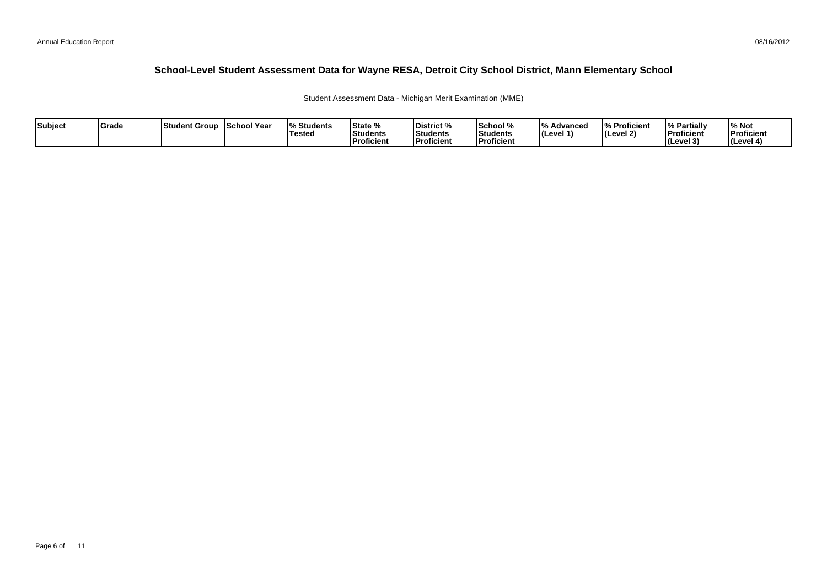Student Assessment Data - Michigan Merit Examination (MME)

| Subject | <b>Grade</b> | ⊺Student Group | School Year | <b>Students</b> I% Students<br><b>Tested</b> | State %<br><u>ы.</u><br><b>Students</b><br>Proficient | District %<br>Students<br>Proficient | 'School %<br>Students<br>Proficient | . ה ו<br>Advanced<br>$ $ (Level 1) | % Proficient<br>l (Level 2) | ' Partially<br>'% :<br>Proficient<br>(Level 3) | '% Not<br>Proficient<br>(Level 4) |
|---------|--------------|----------------|-------------|----------------------------------------------|-------------------------------------------------------|--------------------------------------|-------------------------------------|------------------------------------|-----------------------------|------------------------------------------------|-----------------------------------|
|---------|--------------|----------------|-------------|----------------------------------------------|-------------------------------------------------------|--------------------------------------|-------------------------------------|------------------------------------|-----------------------------|------------------------------------------------|-----------------------------------|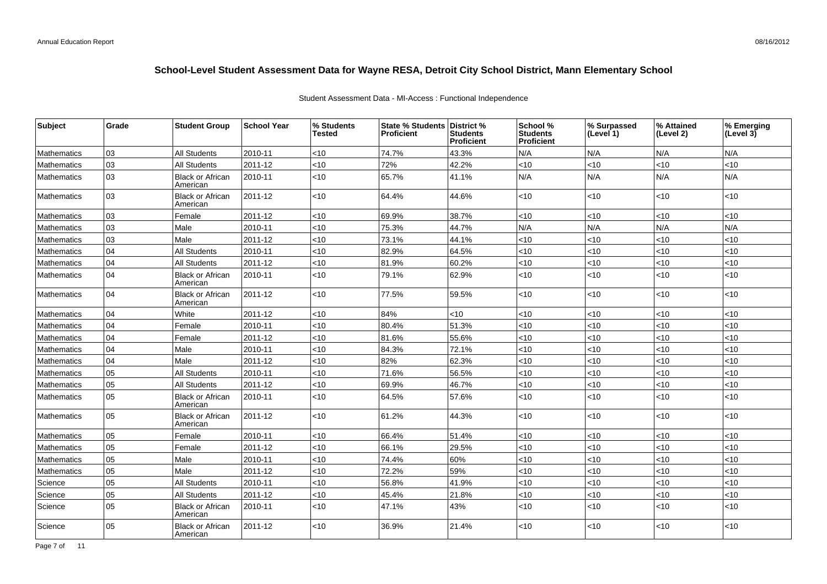|  | Student Assessment Data - MI-Access: Functional Independence |  |  |  |
|--|--------------------------------------------------------------|--|--|--|
|--|--------------------------------------------------------------|--|--|--|

| Subject            | Grade | <b>Student Group</b>                | <b>School Year</b> | % Students<br>Tested | State % Students   District %<br><b>Proficient</b> | Students<br>Proficient | School %<br><b>Students</b><br><b>Proficient</b> | % Surpassed<br>(Level 1) | % Attained<br>(Level 2) | % Emerging<br>(Level 3) |
|--------------------|-------|-------------------------------------|--------------------|----------------------|----------------------------------------------------|------------------------|--------------------------------------------------|--------------------------|-------------------------|-------------------------|
| <b>Mathematics</b> | 03    | <b>All Students</b>                 | 2010-11            | <10                  | 74.7%                                              | 43.3%                  | N/A                                              | N/A                      | N/A                     | N/A                     |
| Mathematics        | 03    | All Students                        | 2011-12            | <10                  | 72%                                                | 42.2%                  | $<$ 10                                           | <10                      | <10                     | < 10                    |
| Mathematics        | 03    | <b>Black or African</b><br>American | 2010-11            | <10                  | 65.7%                                              | 41.1%                  | N/A                                              | N/A                      | N/A                     | N/A                     |
| Mathematics        | 03    | <b>Black or African</b><br>American | 2011-12            | <10                  | 64.4%                                              | 44.6%                  | <10                                              | <10                      | $<10$                   | < 10                    |
| Mathematics        | 03    | Female                              | 2011-12            | <10                  | 69.9%                                              | 38.7%                  | <10                                              | <10                      | < 10                    | < 10                    |
| Mathematics        | 03    | Male                                | 2010-11            | <10                  | 75.3%                                              | 44.7%                  | N/A                                              | N/A                      | N/A                     | N/A                     |
| Mathematics        | 03    | Male                                | 2011-12            | <10                  | 73.1%                                              | 44.1%                  | <10                                              | <10                      | <10                     | < 10                    |
| Mathematics        | 04    | All Students                        | 2010-11            | <10                  | 82.9%                                              | 64.5%                  | <10                                              | <10                      | <10                     | < 10                    |
| Mathematics        | 04    | <b>All Students</b>                 | 2011-12            | <10                  | 81.9%                                              | 60.2%                  | <10                                              | <10                      | <10                     | <10                     |
| Mathematics        | 04    | <b>Black or African</b><br>American | 2010-11            | $<$ 10               | 79.1%                                              | 62.9%                  | <10                                              | <10                      | $<10$                   | < 10                    |
| Mathematics        | 04    | <b>Black or African</b><br>American | 2011-12            | $<$ 10               | 77.5%                                              | 59.5%                  | $<$ 10                                           | <10                      | < 10                    | < 10                    |
| Mathematics        | 04    | White                               | 2011-12            | <10                  | 84%                                                | <10                    | <10                                              | <10                      | <10                     | < 10                    |
| Mathematics        | 04    | Female                              | 2010-11            | <10                  | 80.4%                                              | 51.3%                  | <10                                              | <10                      | <10                     | <10                     |
| Mathematics        | 04    | Female                              | 2011-12            | <10                  | 81.6%                                              | 55.6%                  | <10                                              | <10                      | <10                     | <10                     |
| Mathematics        | 04    | Male                                | 2010-11            | <10                  | 84.3%                                              | 72.1%                  | <10                                              | <10                      | <10                     | < 10                    |
| Mathematics        | 04    | Male                                | 2011-12            | <10                  | 82%                                                | 62.3%                  | <10                                              | <10                      | <10                     | <10                     |
| Mathematics        | 05    | <b>All Students</b>                 | 2010-11            | <10                  | 71.6%                                              | 56.5%                  | <10                                              | <10                      | <10                     | < 10                    |
| Mathematics        | 05    | All Students                        | 2011-12            | <10                  | 69.9%                                              | 46.7%                  | <10                                              | <10                      | <10                     | < 10                    |
| Mathematics        | 05    | <b>Black or African</b><br>American | 2010-11            | $<$ 10               | 64.5%                                              | 57.6%                  | <10                                              | <10                      | <10                     | < 10                    |
| Mathematics        | 05    | <b>Black or African</b><br>American | 2011-12            | <10                  | 61.2%                                              | 44.3%                  | <10                                              | <10                      | $<10$                   | < 10                    |
| Mathematics        | 05    | Female                              | 2010-11            | <10                  | 66.4%                                              | 51.4%                  | <10                                              | <10                      | <10                     | < 10                    |
| <b>Mathematics</b> | 05    | Female                              | 2011-12            | <10                  | 66.1%                                              | 29.5%                  | <10                                              | <10                      | <10                     | < 10                    |
| Mathematics        | 05    | Male                                | 2010-11            | <10                  | 74.4%                                              | 60%                    | <10                                              | <10                      | <10                     | < 10                    |
| Mathematics        | 05    | Male                                | 2011-12            | <10                  | 72.2%                                              | 59%                    | <10                                              | <10                      | < 10                    | < 10                    |
| Science            | 05    | <b>All Students</b>                 | 2010-11            | <10                  | 56.8%                                              | 41.9%                  | <10                                              | <10                      | < 10                    | < 10                    |
| Science            | 05    | <b>All Students</b>                 | 2011-12            | <10                  | 45.4%                                              | 21.8%                  | <10                                              | <10                      | <10                     | < 10                    |
| Science            | 05    | <b>Black or African</b><br>American | 2010-11            | ~10                  | 47.1%                                              | 43%                    | <10                                              | <10                      | < 10                    | < 10                    |
| Science            | 05    | <b>Black or African</b><br>American | 2011-12            | <10                  | 36.9%                                              | 21.4%                  | $<$ 10                                           | <10                      | <10                     | < 10                    |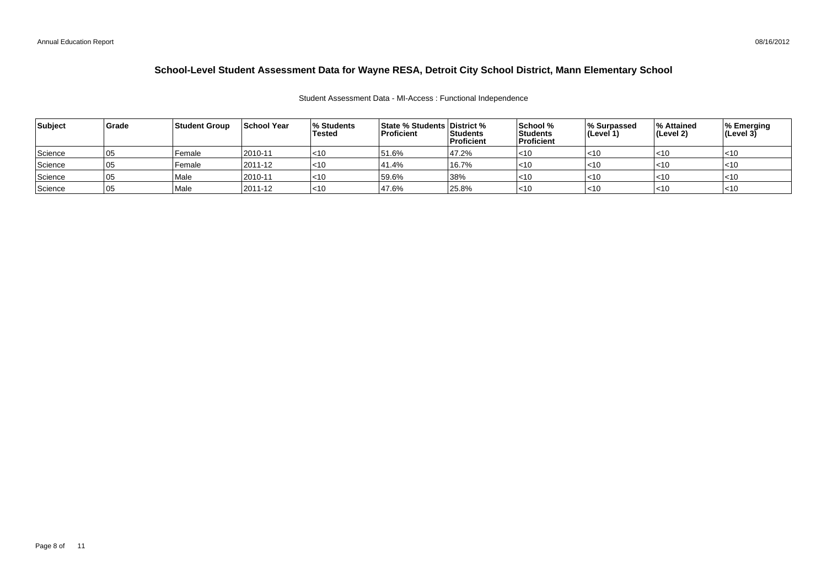#### Student Assessment Data - MI-Access : Functional Independence

| Grade | <b>Student Group</b> | School Year | <b>Proficient</b>                                                            | <b>Proficient</b> | School %<br>Students                                    |            | ∣% Attained<br>(Level 2)         | % Emerging<br>$ $ (Level 3) |
|-------|----------------------|-------------|------------------------------------------------------------------------------|-------------------|---------------------------------------------------------|------------|----------------------------------|-----------------------------|
| 05    | Female               | $2010 - 11$ | 51.6%                                                                        | 47.2%             | $<$ 10                                                  | $<$ 10     | $ $ < 10                         |                             |
| 05    | Female               | 2011-12     | 41.4%                                                                        | 16.7%             | $<$ 10                                                  | $<$ 10     | $ $ < 10                         |                             |
| 05    | Male                 | 2010-11     | 59.6%                                                                        | 38%               | $<$ 10                                                  | $ $ < 10   | $ $ < 10                         | ~10                         |
| 05    | Male                 | 2011-12     | 47.6%                                                                        |                   | $<$ 10                                                  | ∣<10       | $ $ < 10                         |                             |
|       |                      |             | <b>1% Students</b><br>Tested<br>$ $ < 10<br>$ $ < 10<br>$ $ < 10<br>$ $ < 10 |                   | <b>State % Students District %</b><br>Students<br>25.8% | Proficient | <b>Surpassed</b> 8<br>∣(Level 1) |                             |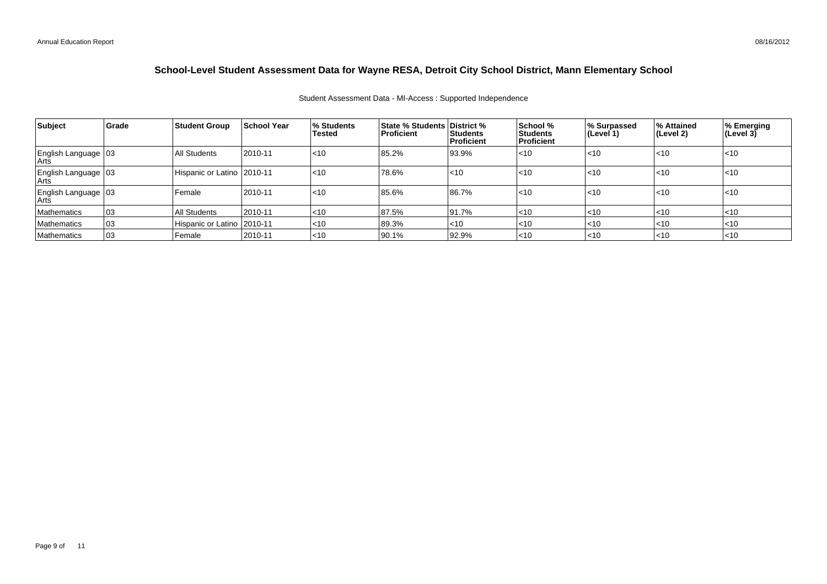| Student Assessment Data - MI-Access: Supported Independence |
|-------------------------------------------------------------|
|-------------------------------------------------------------|

| Subject                       | Grade | Student Group_               | <b>School Year</b> | % Students<br><b>Tested</b> | <b>State % Students District %</b><br><b>Proficient</b> | Students<br>Proficient | School %<br><b>Students</b><br><b>Proficient</b> | ∣% Surpassed<br>∣(Level 1) | ∣% Attained<br>∣(Level 2) | % Emerging<br>(Level 3) |
|-------------------------------|-------|------------------------------|--------------------|-----------------------------|---------------------------------------------------------|------------------------|--------------------------------------------------|----------------------------|---------------------------|-------------------------|
| English Language 03           |       | All Students                 | 2010-11            | $ $ < 10                    | 85.2%                                                   | 93.9%                  | $<$ 10                                           | $ $ < 10                   | l<10                      | $ $ < 10                |
| English Language 03<br>  Arts |       | Hispanic or Latino   2010-11 |                    | $ $ < 10                    | 78.6%                                                   | $ $ <10                | $<$ 10                                           | $ $ < 10                   | l<10                      | $ $ < 10                |
| English Language 03           |       | l Female                     | 2010-11            | $ $ < 10                    | 85.6%                                                   | 86.7%                  | $<$ 10                                           | $ $ < 10                   | l<10                      | $ $ < 10                |
| <b>Mathematics</b>            | 03    | All Students                 | 2010-11            | <10                         | 87.5%                                                   | 91.7%                  | < 10                                             | $ $ < 10                   | $ $ < 10                  | l<10                    |
| Mathematics                   | 03    | Hispanic or Latino   2010-11 |                    | $<$ 10                      | 89.3%                                                   | $\mathsf{I}$ <10       | < 10                                             | $ $ < 10                   | $ $ <10                   | l<10                    |
| Mathematics                   | 03    | l Female                     | 2010-11            | $<$ 10                      | 90.1%                                                   | 92.9%                  | $<$ 10                                           | $ $ < 10                   | l<10                      | $\mathsf{I}$ <10        |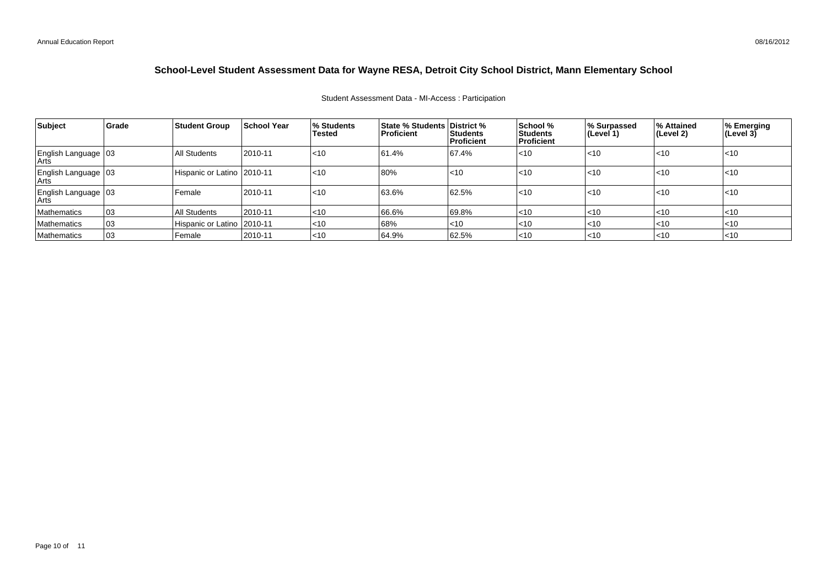| <b>Subject</b>                | Grade | <b>Student Group</b>         | <b>School Year</b> | % Students<br>Tested | <b>State % Students District %</b><br>Proficient | <b>Students</b><br>Proficient | School %<br>Students<br>l Proficient | % Surpassed<br>(Level 1) | % Attained<br>$ $ (Level 2) | % Emerging<br>$(\text{Level } 3)$ |
|-------------------------------|-------|------------------------------|--------------------|----------------------|--------------------------------------------------|-------------------------------|--------------------------------------|--------------------------|-----------------------------|-----------------------------------|
| English Language   03<br>Arts |       | All Students                 | 2010-11            | $ $ < 10             | 61.4%                                            | 67.4%                         | $ $ < 10                             | $\mathsf{I}$ <10         | l<10                        | $\leq 10$                         |
| English Language   03<br>Arts |       | Hispanic or Latino   2010-11 |                    | $ $ < 10             | 80%                                              | $\mathsf{I}$ <10              | $<$ 10                               | $\mathsf{I}$ <10         | l<10                        | l<10                              |
| English Language   03<br>Arts |       | Female                       | 2010-11            | $ $ < 10             | 63.6%                                            | 62.5%                         | $ $ < 10                             | $\mathsf{I}$ <10         | l<10                        | l<10                              |
| <b>Mathematics</b>            | 03    | All Students                 | 2010-11            | $ $ < 10             | 66.6%                                            | 69.8%                         | $ $ < 10                             | $ $ < 10                 | $ $ < 10                    | $\leq 10$                         |
| <b>Mathematics</b>            | 03    | Hispanic or Latino   2010-11 |                    | $ $ < 10             | 68%                                              | $ $ <10                       | $ $ < 10                             | $\mathsf{I}$ <10         | $ $ < 10                    | $I<$ 10                           |
| <b>Mathematics</b>            | 03    | Female                       | 2010-11            | $ $ < 10             | 64.9%                                            | 62.5%                         | $ $ < 10                             | $\mathsf{I}$ <10         | l<10                        | I<10                              |

#### Student Assessment Data - MI-Access : Participation